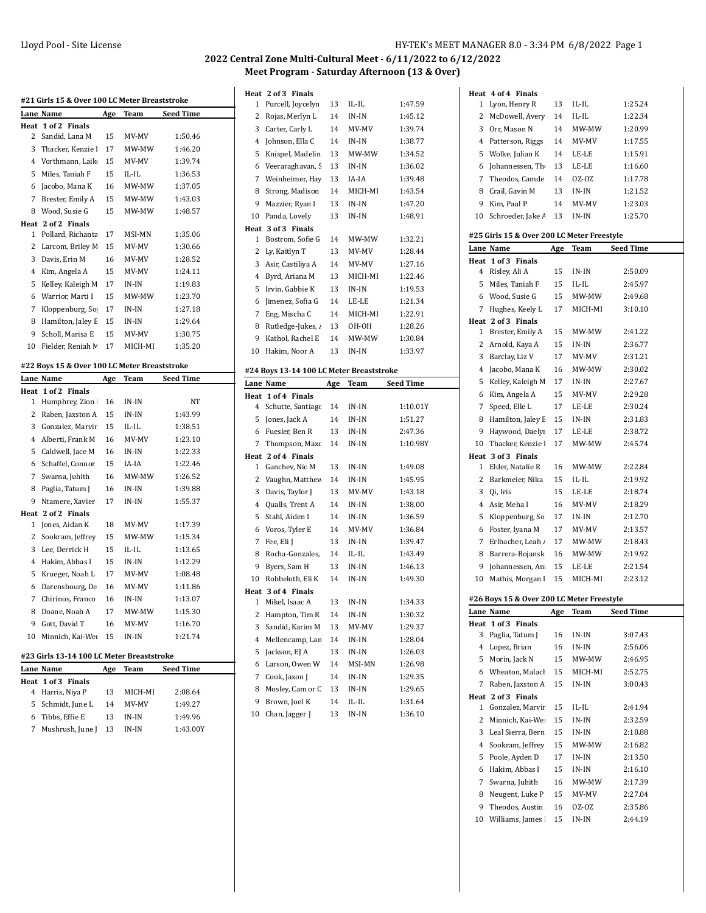| #21 Girls 15 & Over 100 LC Meter Breaststroke |                                           |     |         |                  |  |  |
|-----------------------------------------------|-------------------------------------------|-----|---------|------------------|--|--|
|                                               | Lane Name                                 | Age | Team    | Seed Time        |  |  |
| Heat                                          | $1$ of $2$<br><b>Finals</b>               |     |         |                  |  |  |
| 2                                             | Sandid, Lana M                            | 15  | MV-MV   | 1:50.46          |  |  |
| 3                                             | Thacker, Kenzie I                         | 17  | MW-MW   | 1:46.20          |  |  |
| 4                                             | Vorthmann, Laik                           | 15  | MV-MV   | 1:39.74          |  |  |
| 5                                             | Miles, Taniah F                           | 15  | IL-IL   | 1:36.53          |  |  |
| 6                                             | Jacobo, Mana K                            | 16  | MW-MW   | 1:37.05          |  |  |
| 7                                             | Brester, Emily A                          | 15  | MW-MW   | 1:43.03          |  |  |
| 8                                             | Wood, Susie G                             | 15  | MW-MW   | 1:48.57          |  |  |
|                                               | Heat 2 of 2 Finals                        |     |         |                  |  |  |
| 1                                             | Pollard, Richanta                         | 17  | MSI-MN  | 1:35.06          |  |  |
| 2                                             | Larcom, Briley M                          | 15  | MV-MV   | 1:30.66          |  |  |
| 3                                             | Davis, Erin M                             | 16  | MV-MV   | 1:28.52          |  |  |
| 4                                             | Kim, Angela A                             | 15  | MV-MV   | 1:24.11          |  |  |
| 5                                             | Kelley, Kaleigh M                         | 17  | IN-IN   | 1:19.83          |  |  |
| 6                                             | Warrior, Marti I                          | 15  | MW-MW   | 1:23.70          |  |  |
| 7                                             | Kloppenburg, So                           | 17  | IN-IN   | 1:27.18          |  |  |
| 8                                             | Hamilton, Jaley E                         | 15  | IN-IN   | 1:29.64          |  |  |
| 9                                             | Scholl, Marisa E                          | 15  | MV-MV   | 1:30.75          |  |  |
| 10                                            | Fielder, Reniah M                         | 17  | MICH-MI | 1:35.20          |  |  |
|                                               |                                           |     |         |                  |  |  |
| #22 Boys 15 & Over 100 LC Meter Breaststroke  |                                           |     |         |                  |  |  |
|                                               | Lane Name                                 | Age | Team    | <b>Seed Time</b> |  |  |
| Heat                                          | 1 of 2 Finals                             |     |         |                  |  |  |
| 1                                             | Humphrey, Zion                            | 16  | IN-IN   | NΤ               |  |  |
| 2                                             | Raben, Jaxston A                          | 15  | IN-IN   | 1:43.99          |  |  |
| 3                                             | Gonzalez, Marvir                          | 15  | IL-IL   | 1:38.51          |  |  |
| 4                                             | Alberti, Frank M                          | 16  | MV-MV   | 1:23.10          |  |  |
| 5                                             | Caldwell, Jace M                          | 16  | IN-IN   | 1:22.33          |  |  |
| 6                                             | Schaffel, Connor                          | 15  | IA-IA   | 1:22.46          |  |  |
| 7                                             | Swarna, Juhith                            | 16  | MW-MW   | 1:26.52          |  |  |
| 8                                             | Paglia, Tatum J                           | 16  | IN-IN   | 1:39.88          |  |  |
| 9                                             | Ntamere, Xavier                           | 17  | IN-IN   | 1:55.37          |  |  |
|                                               | Heat 2 of 2 Finals                        |     |         |                  |  |  |
| 1                                             | Jones, Aidan K                            | 18  | MV-MV   | 1:17.39          |  |  |
| 2                                             | Sookram, Jeffrey                          | 15  | MW-MW   | 1:15.34          |  |  |
| 3                                             | Lee, Derrick H                            | 15  | IL-IL   | 1:13.65          |  |  |
| 4                                             | Hakim, Abbas I                            | 15  | IN-IN   | 1:12.29          |  |  |
| 5                                             | Krueger, Noah L                           | 17  | MV-MV   | 1:08.48          |  |  |
| 6                                             | Darensbourg, De                           | 16  | MV-MV   | 1:11.86          |  |  |
| 7                                             | Chirinos, Franco                          | 16  | IN-IN   | 1:13.07          |  |  |
| 8                                             | Doane, Noah A                             | 17  | MW-MW   | 1:15.30          |  |  |
| 9                                             | Gott, David T                             | 16  | MV-MV   | 1:16.70          |  |  |
| 10                                            | Minnich, Kai-We                           | 15  | IN-IN   | 1:21.74          |  |  |
|                                               |                                           |     |         |                  |  |  |
|                                               | #23 Girls 13-14 100 LC Meter Breaststroke |     |         |                  |  |  |
|                                               | Lane Name                                 | Age | Team    | Seed Time        |  |  |
| Heat                                          | 1 of 3<br><b>Finals</b>                   |     |         |                  |  |  |
| 4                                             | Harris, Niya P                            | 13  | MICH-MI | 2:08.64          |  |  |
| 5                                             | Schmidt, June L                           | 14  | MV-MV   | 1:49.27          |  |  |
| 6                                             | Tibbs, Effie E                            | 13  | $IN-IN$ | 1:49.96          |  |  |

Mushrush, June J 13 IN-IN 1:43.00Y

|                  | Heat 2 of 3 Finals                       |     |                |                    |
|------------------|------------------------------------------|-----|----------------|--------------------|
| 1                | Purcell, Joycelyn                        | 13  | IL-IL          | 1:47.59            |
| 2                | Rojas, Merlyn L                          | 14  | IN-IN          | 1:45.12            |
| 3                | Carter, Carly L                          | 14  | MV-MV          | 1:39.74            |
| 4                | Johnson, Ella C                          | 14  | IN-IN          | 1:38.77            |
| 5                | Knispel, Madelin                         | 13  | MW-MW          | 1:34.52            |
| 6                | Veeraraghavan, S                         | 13  | IN-IN          | 1:36.02            |
| $\boldsymbol{7}$ | Weinheimer, Hay                          | 13  | IA-IA          | 1:39.48            |
| 8                | Strong, Madison                          | 14  | MICH-MI        | 1:43.54            |
| 9                | Mazzier, Ryan I                          | 13  | IN-IN          | 1:47.20            |
| 10               | Panda, Lovely                            | 13  | IN-IN          | 1:48.91            |
|                  | Heat 3 of 3 Finals                       |     |                |                    |
| 1                | Bostrom, Sofie G                         | 14  | MW-MW          | 1:32.21            |
| 2                | Ly, Kaitlyn T                            | 13  | MV-MV          | 1.28.44            |
| 3                | Asir, Castiliya A                        | 14  | MV-MV          | 1:27.16            |
| 4                | Byrd, Ariana M                           | 13  | MICH-MI        | 1:22.46            |
| 5                | Irvin, Gabbie K                          | 13  | IN-IN          | 1:19.53            |
| 6                | Jimenez, Sofia G                         | 14  | LE-LE          | 1:21.34            |
| 7                | Eng, Mischa C                            | 14  | MICH-MI        | 1:22.91            |
| 8                | Rutledge-Jukes, /                        | 13  | OH-OH          | 1:28.26            |
| 9                | Kathol, Rachel E                         | 14  | MW-MW          | 1:30.84            |
| 10               | Hakim, Noor A                            | 13  | IN-IN          | 1:33.97            |
|                  |                                          |     |                |                    |
|                  | #24 Boys 13-14 100 LC Meter Breaststroke |     |                | <b>Seed Time</b>   |
| Heat             | Lane Name<br>$1$ of $4$<br><b>Finals</b> | Age | Team           |                    |
| 4                | Schutte, Santiago                        | 14  | IN-IN          | 1:10.01Y           |
| 5                | Jones, Jack A                            | 14  | IN-IN          | 1:51.27            |
| 6                | Fuesler, Ben R                           | 13  | IN-IN          | 2:47.36            |
|                  |                                          |     |                |                    |
|                  |                                          |     |                |                    |
| 7                | Thompson, Maxc                           | 14  | IN-IN          | 1:10.98Y           |
| 1                | Heat 2 of 4 Finals                       | 13  |                |                    |
| 2                | Ganchev, Nic M                           | 14  | IN-IN<br>IN-IN | 1:49.08<br>1:45.95 |
| 3                | Vaughn, Matthew                          | 13  | MV-MV          | 1:43.18            |
| 4                | Davis, Taylor J<br>Qualls, Trent A       | 14  | IN-IN          | 1:38.00            |
| 5                | Stahl, Aiden I                           | 14  | IN-IN          | 1:36.59            |
| 6                | Voros, Tyler E                           | 14  | MV-MV          | 1:36.84            |
|                  |                                          | 13  | IN-IN          | 1:39.47            |
| 7<br>8           | Fee, Eli J                               | 14  | IL-IL          | 1:43.49            |
| 9                | Rocha-Gonzales,                          | 13  |                | 1:46.13            |
| 10               | Byers, Sam H<br>Robbeloth, Eli K         | 14  | IN-IN<br>IN-IN | 1:49.30            |
| Heat             | 3 of 4 Finals                            |     |                |                    |
| 1                | Mikel, Isaac A                           | 13  | IN-IN          | 1:34.33            |
| 2                | Hampton, Tim R                           | 14  | IN-IN          | 1:30.32            |
| 3                | Sandid, Karim M                          | 13  | MV-MV          | 1:29.37            |
| 4                | Mellencamp, Lan                          | 14  | IN-IN          | 1:28.04            |
| 5                | Jackson, EJ A                            | 13  | IN-IN          | 1:26.03            |
| 6                | Larson, Owen W                           | 14  | MSI-MN         | 1:26.98            |
| 7                | Cook, Jaxon J                            | 14  | IN-IN          | 1:29.35            |
| 8                | Mosley, Cam or C                         | 13  | IN-IN          | 1:29.65            |
| 9                | Brown, Joel K                            | 14  | IL-IL          | 1:31.64            |
| 10               | Chan, Jagger J                           | 13  | IN-IN          | 1:36.10            |
|                  |                                          |     |                |                    |
|                  |                                          |     |                |                    |
|                  |                                          |     |                |                    |
|                  |                                          |     |                |                    |

|                | Heat 4 of 4 Finals                         |            |         |                  |
|----------------|--------------------------------------------|------------|---------|------------------|
| 1              | Lyon, Henry R                              | 13         | IL-IL   | 1:25.24          |
| $\overline{2}$ | McDowell, Avery                            | 14         | IL-IL   | 1:22.34          |
| 3              | Orr, Mason N                               | 14         | MW-MW   | 1:20.99          |
| 4              | Patterson, Riggs                           | 14         | MV-MV   | 1:17.55          |
| 5              | Wolke, Julian K                            | 14         | LE-LE   | 1:15.91          |
| 6              | Johannessen, The                           | 13         | LE-LE   | 1:16.60          |
| 7              | Theodos, Camde                             | 14         | OZ-OZ   | 1:17.78          |
| 8              | Crail, Gavin M                             | 13         | IN-IN   | 1:21.52          |
| 9              | Kim, Paul P                                | 14         | MV-MV   | 1:23.03          |
| 10             | Schroeder, Jake /                          | 13         | IN-IN   | 1:25.70          |
|                |                                            |            |         |                  |
|                | #25 Girls 15 & Over 200 LC Meter Freestyle |            |         |                  |
|                | Lane Name                                  | Age        | Team    | <b>Seed Time</b> |
| 4              | Heat 1 of 3 Finals                         |            | IN-IN   | 2:50.09          |
| 5              | Risley, Ali A                              | 15<br>15   |         | 2:45.97          |
|                | Miles, Taniah F                            |            | IL-IL   |                  |
|                | 6 Wood, Susie G                            | 15         | MW-MW   | 2:49.68          |
| 7              | Hughes, Keely L                            | 17         | MICH-MI | 3:10.10          |
| 1              | Heat 2 of 3 Finals<br>Brester, Emily A     | 15         | MW-MW   | 2:41.22          |
|                |                                            |            |         |                  |
| $\mathbf{2}$   | Arnold, Kaya A                             | 15         | IN-IN   | 2:36.77          |
| 3              | Barclay, Liz V                             | 17         | MV-MV   | 2:31.21          |
| 4              | Jacobo, Mana K                             | 16         | MW-MW   | 2:30.02          |
| 5              | Kelley, Kaleigh M                          | 17         | IN-IN   | 2:27.67          |
| 6              | Kim, Angela A                              | 15         | MV-MV   | 2:29.28          |
| 7              | Speed, Elle L                              | 17         | LE-LE   | 2:30.24          |
| 8              | Hamilton, Jaley E                          | 15         | IN-IN   | 2:31.83          |
| 9              | Haywood, Daelyi                            | 17         | LE-LE   | 2:38.72          |
| 10             | Thacker, Kenzie I                          | 17         | MW-MW   | 2:45.74          |
|                | Heat 3 of 3 Finals                         |            |         |                  |
| 1              | Elder, Natalie R                           | 16         | MW-MW   | 2:22.84          |
| 2              | Barkmeier, Nika                            | 15         | IL-IL   | 2:19.92          |
| 3              | Qi, Iris                                   | 15         | LE-LE   | 2:18.74          |
| $\overline{4}$ | Asir, Meha I                               | 16         | MV-MV   | 2:18.29          |
| 5              | Kloppenburg, So                            | 17         | IN-IN   | 2:12.70          |
| 6              | Foster, Iyana M                            | 17         | MV-MV   | 2:13.57          |
| 7              | Erlbacher, Leah /                          | 17         | MW-MW   | 2:18.43          |
| 8              | Barrera-Bojansk                            | 16         | MW-MW   | 2:19.92          |
| 9              | Johannessen, An                            | 15         | LE-LE   | 2:21.54          |
| 10             | Mathis, Morgan I                           | 15         | MICH-MI | 2:23.12          |
|                | #26 Boys 15 & Over 200 LC Meter Freestyle  |            |         |                  |
|                | Lane Name                                  | <u>Age</u> | Team    | <b>Seed Time</b> |
| Heat           | 1 of 3<br><b>Finals</b>                    |            |         |                  |
| 3              | Paglia, Tatum J                            | 16         | IN-IN   | 3:07.43          |
| $\overline{4}$ | Lopez, Brian                               | 16         | IN-IN   | 2:56.06          |
| 5              | Morin, Jack N                              | 15         | MW-MW   | 2:46.95          |
| 6              | Wheaton, Malach                            | 15         | MICH-MI | 2:52.75          |
| 7              | Raben, Jaxston A                           | 15         | IN-IN   | 3:00.43          |
|                | Heat 2 of 3 Finals                         |            |         |                  |
| 1              | Gonzalez, Marvir                           | 15         | IL-IL   | 2:41.94          |
| 2              | Minnich, Kai-We:                           | 15         | IN-IN   | 2:32.59          |
| 3              | Leal Sierra, Bern                          | 15         | IN-IN   | 2:18.88          |
| 4              | Sookram, Jeffrey                           | 15         | MW-MW   | 2:16.82          |
| 5              | Poole, Ayden D                             | 17         | IN-IN   | 2:13.50          |
| 6              | Hakim, Abbas I                             | 15         | IN-IN   | 2:16.10          |
| 7              | Swarna, Juhith                             | 16         | MW-MW   | 2:17.39          |
| 8              | Neugent, Luke P                            | 15         | MV-MV   | 2:27.04          |
| 9              | Theodos, Austin                            | 16         | OZ-OZ   | 2:35.86          |
| 10             | Williams, James !                          | 15         | IN-IN   | 2:44.19          |
|                |                                            |            |         |                  |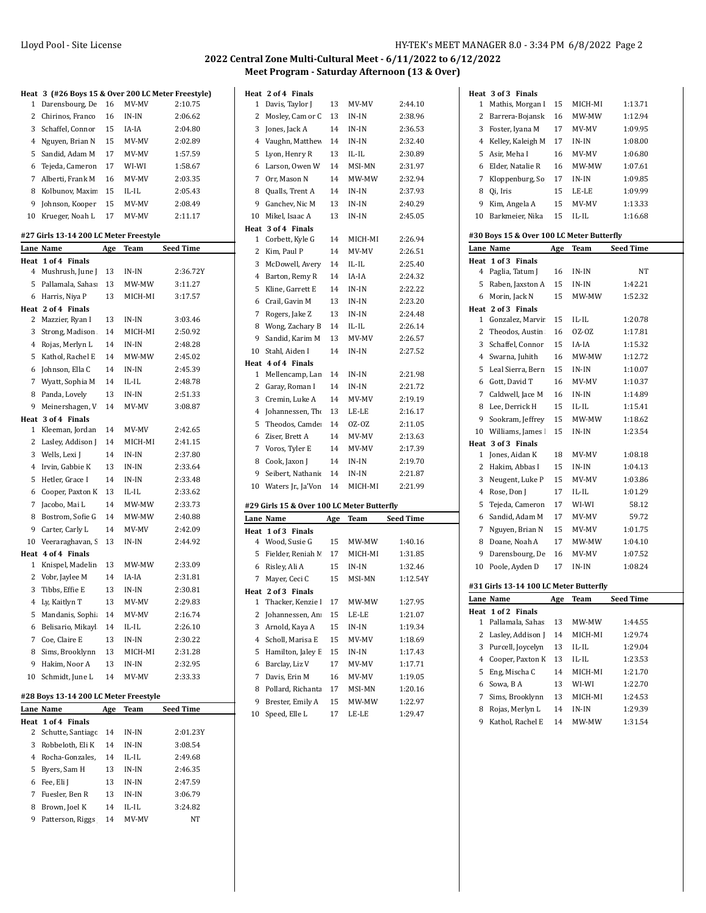$\ddot{\phantom{a}}$ 

# **2022 Central Zone Multi-Cultural Meet - 6/11/2022 to 6/12/2022 Meet Program - Saturday Afternoon (13 & Over)**

| Heat | 3 (#26 Boys 15 & Over 200 LC Meter Freestyle) |     |             |                  |
|------|-----------------------------------------------|-----|-------------|------------------|
| 1    | Darensbourg, De                               | 16  | MV-MV       | 2:10.75          |
| 2    | Chirinos, Franco                              | 16  | $IN-IN$     | 2:06.62          |
| 3    | Schaffel, Connor                              | 15  | IA-IA       | 2:04.80          |
| 4    | Nguyen, Brian N                               | 15  | MV-MV       | 2:02.89          |
| 5    | Sandid, Adam M                                | 17  | MV-MV       | 1:57.59          |
| 6    | Tejeda, Cameron                               | 17  | WI-WI       | 1:58.67          |
|      |                                               |     |             |                  |
| 7    | Alberti, Frank M                              | 16  | MV-MV       | 2:03.35          |
| 8    | Kolbunov, Maxin                               | 15  | IL-IL       | 2:05.43          |
| 9    | Johnson, Kooper                               | 15  | MV-MV       | 2:08.49          |
| 10   | Krueger, Noah L                               | 17  | MV-MV       | 2:11.17          |
|      | #27 Girls 13-14 200 LC Meter Freestyle        |     |             |                  |
|      | Lane Name                                     | Age | Team        | <b>Seed Time</b> |
| Heat | 1 of 4 Finals                                 |     |             |                  |
| 4    | Mushrush, June J                              | 13  | IN-IN       | 2:36.72Y         |
| 5    | Pallamala, Sahas                              | 13  | MW-MW       | 3:11.27          |
| 6    | Harris, Niya P                                | 13  | MICH-MI     | 3:17.57          |
|      | Heat 2 of 4 Finals                            |     |             |                  |
| 2    | Mazzier, Ryan I                               | 13  | $IN-IN$     | 3:03.46          |
| 3    | Strong, Madison                               | 14  | MICH-MI     | 2:50.92          |
| 4    | Rojas, Merlyn L                               | 14  | IN-IN       | 2:48.28          |
| 5    | Kathol, Rachel E                              | 14  | MW-MW       | 2:45.02          |
| 6    | Johnson, Ella C                               | 14  | IN-IN       | 2:45.39          |
| 7    | Wyatt, Sophia M                               | 14  | $IL$ - $IL$ | 2:48.78          |
| 8    | Panda, Lovely                                 | 13  | IN-IN       | 2:51.33          |
| 9    | Meinershagen, V                               | 14  | MV-MV       | 3:08.87          |
| Heat | 3 of 4 Finals                                 |     |             |                  |
| 1    | Kleeman, Jordan                               | 14  | MV-MV       | 2:42.65          |
| 2    | Lasley, Addison J                             | 14  | MICH-MI     | 2:41.15          |
| 3    | Wells, Lexi J                                 | 14  | IN-IN       | 2:37.80          |
| 4    | Irvin, Gabbie K                               | 13  | IN-IN       | 2:33.64          |
| 5    | Hetler, Grace I                               | 14  | IN-IN       | 2:33.48          |
|      |                                               |     |             |                  |
| 6    | Cooper, Paxton K                              | 13  | IL-IL       | 2:33.62          |
| 7    | Jacobo, Mai L                                 | 14  | MW-MW       | 2:33.73          |
| 8    | Bostrom, Sofie G                              | 14  | MW-MW       | 2:40.88          |
| 9    | Carter, Carly L                               | 14  | MV-MV       | 2:42.09          |
| 10   | Veeraraghavan, S                              | 13  | IN-IN       | 2:44.92          |
| Heat | 4 of 4 Finals                                 |     |             |                  |
| 1    | Knispel, Madelin                              | 13  | MW-MW       | 2:33.09          |
| 2    | Vobr, Jaylee M                                | 14  | IA-IA       | 2:31.81          |
| 3    | Tibbs, Effie E                                | 13  | IN-IN       | 2:30.81          |
|      | 4 Ly, Kaitlyn T                               | 13  | MV-MV       | 2:29.83          |
| 5    | Mandanis, Sophi                               | 14  | MV-MV       | 2:16.74          |
| 6    | Belisario, Mikayl                             | 14  | IL-IL       | 2:26.10          |
| 7    | Coe, Claire E                                 | 13  | IN-IN       | 2:30.22          |
| 8    | Sims, Brooklynn                               | 13  | MICH-MI     | 2:31.28          |
| 9    | Hakim, Noor A                                 | 13  | IN-IN       | 2:32.95          |
| 10   | Schmidt, June L                               | 14  | MV-MV       | 2:33.33          |
|      | #28 Boys 13-14 200 LC Meter Freestyle         |     |             |                  |
|      | Lane Name                                     |     |             | <b>Seed Time</b> |
| Heat | 1 of 4 Finals                                 | Age | <u>Team</u> |                  |
| 2    | Schutte, Santiago                             | 14  | IN-IN       | 2:01.23Y         |
| 3    | Robbeloth, Eli K                              | 14  | IN-IN       | 3:08.54          |
|      |                                               |     |             |                  |
| 4    | Rocha-Gonzales,                               | 14  | IL-IL       | 2:49.68          |
| 5    | Byers, Sam H                                  | 13  | IN-IN       | 2:46.35          |
| 6    | Fee, Eli J                                    | 13  | IN-IN       | 2:47.59          |
| 7    | Fuesler, Ben R                                | 13  | IN-IN       | 3:06.79          |
| 8    | Brown, Joel K                                 | 14  | IL-IL       | 3:24.82          |

9 Patterson, Riggs 14 MV-MV NT

|      | Heat 2 of 4 Finals                         |     |         |                  |
|------|--------------------------------------------|-----|---------|------------------|
| 1    | Davis, Taylor J                            | 13  | MV-MV   | 2:44.10          |
| 2    | Mosley, Cam or C                           | 13  | $IN-IN$ | 2:38.96          |
| 3    | Jones, Jack A                              | 14  | IN-IN   | 2:36.53          |
| 4    | Vaughn, Matthew                            | 14  | IN-IN   | 2:32.40          |
| 5    | Lyon, Henry R                              | 13  | IL-IL   | 2:30.89          |
| 6    | Larson, Owen W                             | 14  | MSI-MN  | 2:31.97          |
| 7    | Orr, Mason N                               | 14  | MW-MW   | 2:32.94          |
| 8    | Qualls, Trent A                            | 14  | IN-IN   | 2:37.93          |
| 9    | Ganchev, Nic M                             | 13  | IN-IN   | 2:40.29          |
| 10   | Mikel, Isaac A                             | 13  | IN-IN   | 2:45.05          |
| Heat | 3 of 4 Finals                              |     |         |                  |
| 1    | Corbett, Kyle G                            | 14  | MICH-MI | 2:26.94          |
| 2    | Kim, Paul P                                | 14  | MV-MV   | 2:26.51          |
| 3    | McDowell, Avery                            | 14  | IL-IL   | 2:25.40          |
| 4    | Barton, Remy R                             | 14  | IA-IA   | 2:24.32          |
| 5    | Kline, Garrett E                           | 14  | IN-IN   | 2:22.22          |
| 6    | Crail, Gavin M                             | 13  | IN-IN   | 2:23.20          |
| 7    | Rogers, Jake Z                             | 13  | IN-IN   | 2:24.48          |
| 8    | Wong, Zachary B                            | 14  | IL-IL   | 2:26.14          |
| 9    | Sandid, Karim M                            | 13  | MV-MV   | 2:26.57          |
| 10   | Stahl, Aiden I                             | 14  | $IN-IN$ | 2:27.52          |
|      | Heat 4 of 4 Finals                         |     |         |                  |
| 1    | Mellencamp, Lan                            | 14  | IN-IN   | 2:21.98          |
| 2    | Garay, Roman I                             | 14  | IN-IN   | 2:21.72          |
| 3    | Cremin, Luke A                             | 14  | MV-MV   | 2:19.19          |
| 4    | Johannessen, Tho                           | 13  | LE-LE   | 2:16.17          |
| 5    | Theodos, Camde                             | 14  | 0Z-OZ   | 2:11.05          |
| 6    | Ziser, Brett A                             | 14  | MV-MV   | 2:13.63          |
| 7    | Voros, Tyler E                             | 14  | MV-MV   | 2:17.39          |
| 8    | Cook, Jaxon J                              | 14  | IN-IN   | 2:19.70          |
| 9    | Seibert, Nathanie                          | 14  | IN-IN   | 2:21.87          |
| 10   | Waters Jr., Ja'Von                         | 14  | MICH-MI | 2:21.99          |
|      | #29 Girls 15 & Over 100 LC Meter Butterfly |     |         |                  |
|      | Lane Name                                  |     | Team    | <b>Seed Time</b> |
| Heat | 1 of 3<br><b>Finals</b>                    | Age |         |                  |
| 4    | Wood, Susie G                              | 15  | MW-MW   | 1:40.16          |
| 5    | Fielder, Reniah M                          | 17  | MICH-MI | 1:31.85          |
| 6    | Risley, Ali A                              | 15  | IN-IN   | 1:32.46          |
| 7    | Mayer, Ceci C                              | 15  | MSI-MN  | 1:12.54Y         |
|      | Heat 2 of 3 Finals                         |     |         |                  |
| T.   | Thacker, Kenzie l                          | 17  | MW-MW   | 1:27.95          |
| 2    | Johannessen, An                            | 15  | LE-LE   | 1:21.07          |
| 3    | Arnold, Kaya A                             | 15  | IN-IN   | 1:19.34          |
| 4    | Scholl, Marisa E                           | 15  | MV-MV   | 1:18.69          |
| 5    | Hamilton, Jaley E                          | 15  | IN-IN   | 1:17.43          |
| 6    | Barclay, Liz V                             | 17  | MV-MV   | 1:17.71          |
| 7    | Davis, Erin M                              | 16  | MV-MV   | 1:19.05          |
| 8    | Pollard, Richanta                          | 17  | MSI-MN  | 1:20.16          |
| 9    | Brester, Emily A                           | 15  | MW-MW   | 1:22.97          |
| 10   | Speed, Elle L                              | 17  | LE-LE   | 1:29.47          |

|      | Heat 3 of 3 Finals                        |     |             |                  |
|------|-------------------------------------------|-----|-------------|------------------|
| 1    | Mathis, Morgan I                          | 15  | MICH-MI     | 1:13.71          |
| 2    | Barrera-Bojansk                           | 16  | MW-MW       | 1:12.94          |
| 3    | Foster, Iyana M                           | 17  | MV-MV       | 1:09.95          |
| 4    | Kelley, Kaleigh M                         | 17  | IN-IN       | 1:08.00          |
| 5    | Asir, Meha I                              | 16  | MV-MV       | 1:06.80          |
| 6    | Elder, Natalie R                          | 16  | MW-MW       | 1:07.61          |
| 7    | Kloppenburg, So                           | 17  | IN-IN       | 1:09.85          |
| 8    | Qi, Iris                                  | 15  | LE-LE       | 1:09.99          |
| 9    | Kim, Angela A                             | 15  | MV-MV       | 1:13.33          |
| 10   | Barkmeier, Nika                           | 15  | IL-IL       | 1:16.68          |
|      |                                           |     |             |                  |
|      | #30 Boys 15 & Over 100 LC Meter Butterfly |     |             |                  |
|      | Lane Name                                 | Age | Team        | <b>Seed Time</b> |
| Heat | 1 of 3 Finals                             |     |             |                  |
| 4    | Paglia, Tatum J                           | 16  | IN-IN       | NΤ               |
|      | 5 Raben, Jaxston A                        | 15  | IN-IN       | 1:42.21          |
| 6    | Morin, Jack N                             | 15  | MW-MW       | 1:52.32          |
|      | Heat 2 of 3 Finals                        |     |             |                  |
| 1    | Gonzalez, Marvir                          | 15  | IL-IL       | 1:20.78          |
| 2    | Theodos, Austin                           | 16  | OZ-OZ       | 1:17.81          |
| 3    | Schaffel, Connor                          | 15  | IA-IA       | 1:15.32          |
| 4    | Swarna, Juhith                            | 16  | MW-MW       | 1:12.72          |
| 5    | Leal Sierra, Bern                         | 15  | IN-IN       | 1:10.07          |
| 6    | Gott, David T                             | 16  | MV-MV       | 1:10.37          |
| 7    | Caldwell, Jace M                          | 16  | IN-IN       | 1:14.89          |
| 8    | Lee, Derrick H                            | 15  | $IL$ - $IL$ | 1:15.41          |
| 9    | Sookram, Jeffrey                          | 15  | MW-MW       | 1:18.62          |
| 10   | Williams, James !                         | 15  | IN-IN       | 1:23.54          |
|      | Heat 3 of 3 Finals                        |     |             |                  |
| 1    | Jones, Aidan K                            | 18  | MV-MV       | 1:08.18          |
| 2    | Hakim, Abbas I                            | 15  | IN-IN       | 1:04.13          |
| 3    | Neugent, Luke P                           | 15  | MV-MV       | 1:03.86          |
| 4    | Rose, Don J                               | 17  | IL-IL       | 1:01.29          |
| 5    | Tejeda, Cameron                           | 17  | WI-WI       | 58.12            |
| 6    | Sandid, Adam M                            | 17  | MV-MV       | 59.72            |
| 7    | Nguyen, Brian N                           | 15  | MV-MV       | 1:01.75          |
| 8    | Doane, Noah A                             | 17  | MW-MW       | 1:04.10          |
| 9    | Darensbourg, De                           | 16  | MV-MV       | 1:07.52          |
| 10   | Poole, Ayden D                            | 17  | IN-IN       | 1:08.24          |
|      |                                           |     |             |                  |
|      | #31 Girls 13-14 100 LC Meter Butterfly    |     |             |                  |
|      | Lane Name                                 | Age | Team        | Seed Time        |
| Heat | 1 of 2 Finals                             |     |             |                  |
| 1    | Pallamala, Sahas                          | 13  | MW-MW       | 1:44.55          |
| 2    | Lasley, Addison J                         | 14  | MICH-MI     | 1:29.74          |
| 3    | Purcell, Joycelyn                         | 13  | IL-IL       | 1:29.04          |
| 4    | Cooper, Paxton K                          | 13  | IL-IL       | 1:23.53          |
| 5    | Eng, Mischa C                             | 14  | MICH-MI     | 1:21.70          |
| 6    | Sowa, BA                                  | 13  | WI-WI       | 1:22.70          |
| 7    |                                           |     |             |                  |
|      | Sims, Brooklynn                           | 13  | MICH-MI     | 1:24.53          |
| 8    | Rojas, Merlyn L                           | 14  | IN-IN       | 1:29.39          |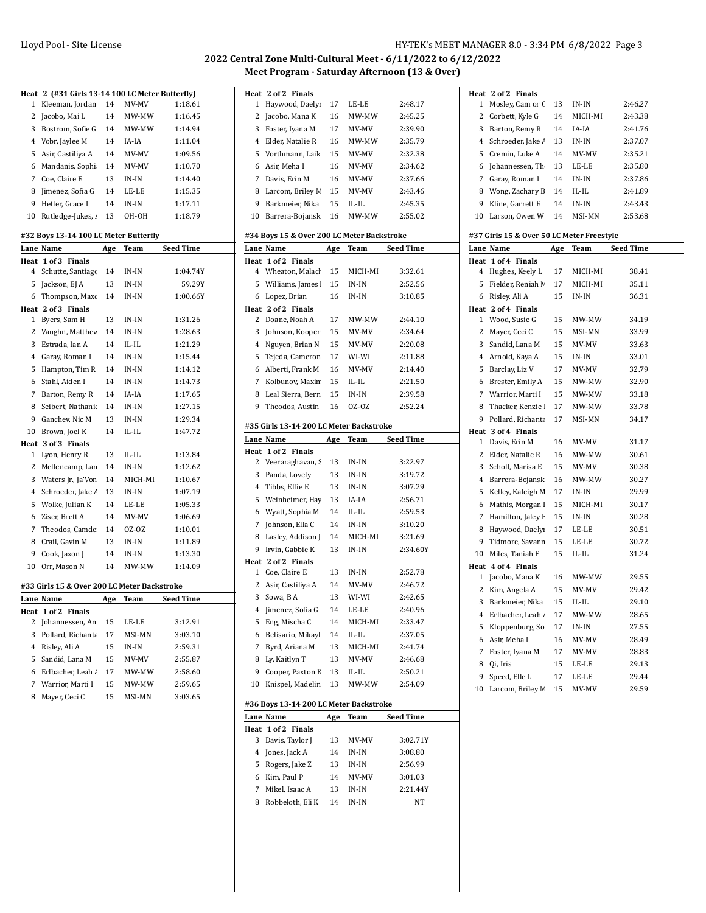|                | Heat 2 (#31 Girls 13-14 100 LC Meter Butterfly) |            |             |                  |
|----------------|-------------------------------------------------|------------|-------------|------------------|
| 1              | Kleeman, Jordan                                 | 14         | MV-MV       | 1:18.61          |
| 2              | Jacobo, Mai L                                   | 14         | MW-MW       | 1:16.45          |
| 3              | Bostrom, Sofie G                                | 14         | MW-MW       | 1:14.94          |
| 4              | Vobr, Jaylee M                                  | 14         | IA-IA       | 1:11.04          |
| 5              | Asir, Castiliya A                               | 14         | MV-MV       | 1:09.56          |
| 6              | Mandanis, Sophi                                 | 14         | MV-MV       | 1:10.70          |
| 7              | Coe, Claire E                                   | 13         | IN-IN       | 1:14.40          |
| 8              | Jimenez, Sofia G                                | 14         | LE-LE       | 1:15.35          |
| 9              | Hetler, Grace I                                 | 14         | IN-IN       | 1:17.11          |
| 10             | Rutledge-Jukes, /                               | 13         | OH-OH       | 1:18.79          |
|                | #32 Boys 13-14 100 LC Meter Butterfly           |            |             |                  |
|                | Lane Name                                       | Age        | Team        | <b>Seed Time</b> |
|                | Heat 1 of 3 Finals                              |            |             |                  |
| 4              | Schutte, Santiago                               | 14         | IN-IN       | 1:04.74Y         |
| 5              | Jackson, EJ A                                   | 13         | IN-IN       | 59.29Y           |
| 6              | Thompson, Maxo                                  | 14         | IN-IN       | 1:00.66Y         |
|                | Heat 2 of 3 Finals                              |            |             |                  |
| 1              | Byers, Sam H                                    | 13         | $IN-IN$     | 1:31.26          |
| 2              | Vaughn, Matthev                                 | 14         | IN-IN       | 1:28.63          |
| 3              | Estrada, Ian A                                  | 14         | IL-IL       | 1:21.29          |
| 4              | Garay, Roman I                                  | 14         | IN-IN       | 1:15.44          |
| 5              | Hampton, Tim R                                  | 14         | IN-IN       | 1:14.12          |
| 6              | Stahl, Aiden I                                  | 14         | IN-IN       | 1:14.73          |
| 7              | Barton, Remy R                                  | 14         | IA-IA       | 1:17.65          |
| 8              | Seibert, Nathanie                               | 14         | IN-IN       | 1:27.15          |
| 9              | Ganchev, Nic M                                  | 13         | IN-IN       | 1:29.34          |
| 10             | Brown, Joel K                                   | 14         | $IL$ - $IL$ | 1:47.72          |
|                | Heat 3 of 3 Finals                              |            |             |                  |
| 1              | Lyon, Henry R                                   | 13         | $IL$ - $IL$ | 1:13.84          |
| 2              | Mellencamp, Lan                                 | 14         | $IN-IN$     | 1:12.62          |
| 3              | Waters Jr., Ja'Von                              | 14         | MICH-MI     | 1:10.67          |
| $\overline{4}$ | Schroeder, Jake /                               | 13         | $IN-IN$     | 1:07.19          |
| 5              | Wolke, Julian K                                 | 14         | LE-LE       | 1:05.33          |
| 6              | Ziser, Brett A                                  | 14         | MV-MV       | 1:06.69          |
| 7              | Theodos, Camde                                  | 14         | OZ-OZ       | 1:10.01          |
| 8              | Crail, Gavin M                                  | 13         | IN-IN       | 1:11.89          |
| 9              | Cook, Jaxon J                                   | 14         | IN-IN       | 1:13.30          |
| 10             | Orr, Mason N                                    | 14         | MW-MW       | 1:14.09          |
|                |                                                 |            |             |                  |
|                | #33 Girls 15 & Over 200 LC Meter Backstroke     |            |             |                  |
|                | Lane Name                                       | <b>Age</b> | Team        | <b>Seed Time</b> |
| Heat<br>2      | $1$ of $2$<br><b>Finals</b><br>Johannessen, An  | 15         | LE-LE       | 3:12.91          |
| 3              | Pollard, Richanta                               | 17         | MSI-MN      | 3:03.10          |
| 4              | Risley, Ali A                                   | 15         | IN-IN       | 2:59.31          |
| 5              | Sandid, Lana M                                  | 15         | MV-MV       | 2:55.87          |
| 6              | Erlbacher, Leah /                               | 17         | MW-MW       | 2:58.60          |
| 7              | Warrior, Marti I                                | 15         | MW-MW       | 2:59.65          |
|                |                                                 |            |             |                  |

8 Mayer, Ceci C 15 MSI-MN 3:03.65

|    | Heat 2 of 2 Finals |    |           |         |
|----|--------------------|----|-----------|---------|
| 1  | Haywood, Daelyi    | 17 | LE-LE     | 2:48.17 |
| 2  | Jacobo, Mana K     | 16 | MW-MW     | 2:45.25 |
| 3  | Foster, Iyana M    | 17 | MV-MV     | 2:39.90 |
| 4  | Elder. Natalie R   | 16 | MW-MW     | 2:35.79 |
| 5. | Vorthmann, Laik    | 15 | MV-MV     | 2.32.38 |
| 6  | Asir. Meha I       | 16 | MV-MV     | 2:34.62 |
| 7  | Davis. Erin M      | 16 | MV-MV     | 2:37.66 |
| 8  | Larcom, Briley M   | 15 | MV-MV     | 2:43.46 |
| 9  | Barkmeier, Nika    | 15 | $II.-II.$ | 2:45.35 |
| 10 | Barrera-Bojansk    | 16 | MW-MW     | 2:55.02 |

### **#34 Boys 15 & Over 200 LC Meter Backstroke**

|                | Lane Name                               | Age | Team           | <b>Seed Time</b> |
|----------------|-----------------------------------------|-----|----------------|------------------|
| Heat           | 1 of 2 Finals                           |     |                |                  |
| 4              | Wheaton, Malach                         | 15  | MICH-MI        | 3:32.61          |
| 5              | Williams, James I                       | 15  | $\text{IN-IN}$ | 2:52.56          |
| 6              | Lopez, Brian                            | 16  | $IN-IN$        | 3:10.85          |
| Heat           | 2 of 2 Finals                           |     |                |                  |
| 2              | Doane, Noah A                           | 17  | MW-MW          | 2:44.10          |
| 3              | Johnson, Kooper                         | 15  | MV-MV          | 2:34.64          |
| $\overline{4}$ | Nguyen, Brian N                         | 15  | MV-MV          | 2:20.08          |
| 5              | Tejeda, Cameron                         | 17  | WI-WI          | 2:11.88          |
| 6              | Alberti, Frank M                        | 16  | MV-MV          | 2:14.40          |
| 7              | Kolbunov, Maxin                         | 15  | $IL$ - $IL$    | 2:21.50          |
| 8              | Leal Sierra, Bern                       | 15  | IN-IN          | 2:39.58          |
| 9              | Theodos, Austin                         | 16  | OZ-OZ          | 2:52.24          |
|                | #35 Girls 13-14 200 LC Meter Backstroke |     |                |                  |
|                | Lane Name                               | Age | Team           | <b>Seed Time</b> |
| Heat           | 1 of 2 Finals                           |     |                |                  |
| 2              | Veeraraghavan, S                        | 13  | IN-IN          | 3:22.97          |
| 3              | Panda, Lovely                           | 13  | IN-IN          | 3:19.72          |
| $\overline{4}$ | Tibbs, Effie E                          | 13  | $IN-IN$        | 3:07.29          |
| 5              | Weinheimer, Hay                         | 13  | IA-IA          | 2:56.71          |
| 6              | Wyatt, Sophia M                         | 14  | $IL$ - $IL$    | 2:59.53          |
| 7              | Johnson, Ella C                         | 14  | IN-IN          | 3:10.20          |
| 8              | Lasley, Addison J                       | 14  | MICH-MI        | 3:21.69          |
| 9              | Irvin. Gabbie K                         | 13  | $IN-IN$        | 2:34.60Y         |
|                | Heat 2 of 2 Finals                      |     |                |                  |
| 1              | Coe, Claire E                           | 13  | IN-IN          | 2:52.78          |
| 2              | Asir, Castiliya A                       | 14  | MV-MV          | 2:46.72          |
| 3              | Sowa, BA                                | 13  | WI-WI          | 2:42.65          |
| $\overline{4}$ | Jimenez, Sofia G                        | 14  | LE-LE          | 2:40.96          |
| 5              | Eng, Mischa C                           | 14  | MICH-MI        | 2:33.47          |
| 6              | Belisario, Mikayl                       | 14  | IL-IL          | 2:37.05          |
| 7              | Byrd, Ariana M                          | 13  | MICH-MI        | 2:41.74          |
| 8              | Ly, Kaitlyn T                           | 13  | MV-MV          | 2:46.68          |
| 9              | Cooper, Paxton K                        | 13  | IL-IL          | 2:50.21          |
| 10             | Knispel, Madelin                        | 13  | MW-MW          | 2:54.09          |
|                | #36 Boys 13-14 200 LC Meter Backstroke  |     |                |                  |
|                | Lane Name                               | Age | <b>Team</b>    | <b>Seed Time</b> |
| Heat           | 1 of 2 Finals                           |     |                |                  |
| 3              | Davis, Taylor J                         | 13  | MV-MV          | 3:02.71Y         |
| 4              | Jones, Jack A                           | 14  | IN-IN          | 3:08.80          |
| 5              | Rogers, Jake Z                          | 13  | $IN-IN$        | 2:56.99          |
| 6              | Kim, Paul P                             | 14  | MV-MV          | 3:01.03          |

 Mikel, Isaac A 13 IN-IN 2:21.44Y 8 Robbeloth, Eli K 14 IN-IN NT

|                | Heat 2 of 2 Finals                        |     |                |                  |
|----------------|-------------------------------------------|-----|----------------|------------------|
| 1              | Mosley, Cam or C                          | 13  | $IN-IN$        | 2:46.27          |
| 2              | Corbett, Kyle G                           | 14  | MICH-MI        | 2:43.38          |
| 3              | Barton, Remy R                            | 14  | IA-IA          | 2:41.76          |
| 4              | Schroeder, Jake A                         | 13  | IN-IN          | 2:37.07          |
| 5              | Cremin, Luke A                            | 14  | MV-MV          | 2:35.21          |
| 6              | Johannessen, The                          | 13  | LE-LE          | 2:35.80          |
| 7              | Garay, Roman I                            | 14  | IN-IN          | 2:37.86          |
| 8              | Wong, Zachary B                           | 14  | IL-IL          | 2:41.89          |
| 9              | Kline, Garrett E                          | 14  | IN-IN          | 2:43.43          |
| 10             | Larson, Owen W                            | 14  | MSI-MN         | 2:53.68          |
|                |                                           |     |                |                  |
|                | #37 Girls 15 & Over 50 LC Meter Freestyle |     |                |                  |
|                | Lane Name                                 | Age | Team           | <b>Seed Time</b> |
| Heat           | 1 of 4 Finals                             |     |                |                  |
| 4              | Hughes, Keely L                           | 17  | MICH-MI        | 38.41            |
| 5              | Fielder, Reniah M                         | 17  | MICH-MI        | 35.11            |
| 6              | Risley, Ali A                             | 15  | IN-IN          | 36.31            |
|                | Heat 2 of 4 Finals<br>Wood, Susie G       |     | MW-MW          |                  |
| 1              |                                           | 15  |                | 34.19            |
| 2              | Mayer, Ceci C                             | 15  | MSI-MN         | 33.99            |
| 3              | Sandid, Lana M                            | 15  | MV-MV          | 33.63            |
| $\overline{4}$ | Arnold, Kaya A                            | 15  | $IN-IN$        | 33.01            |
| 5              | Barclay, Liz V                            | 17  | MV-MV          | 32.79            |
| 6              | Brester, Emily A                          | 15  | MW-MW          | 32.90            |
| 7              | Warrior, Marti I                          | 15  | MW-MW          | 33.18            |
| 8              | Thacker, Kenzie I                         | 17  | MW-MW          | 33.78            |
| 9              | Pollard, Richanta                         | 17  | MSI-MN         | 34.17            |
|                | Heat 3 of 4 Finals                        |     |                |                  |
| 1              | Davis, Erin M                             | 16  | MV-MV          | 31.17            |
| 2              | Elder, Natalie R                          | 16  | MW-MW          | 30.61            |
| 3              | Scholl, Marisa E                          | 15  | MV-MV          | 30.38            |
| 4              | Barrera-Bojansk                           | 16  | MW-MW          | 30.27            |
| 5              | Kelley, Kaleigh M                         | 17  | IN-IN          | 29.99            |
| 6              | Mathis, Morgan I                          | 15  | MICH-MI        | 30.17            |
| 7              | Hamilton, Jaley E                         | 15  | IN-IN          | 30.28            |
| 8              | Haywood, Daelyi                           | 17  | LE-LE          | 30.51            |
| 9              | Tidmore, Savann                           | 15  | LE-LE          | 30.72            |
| 10             | Miles, Taniah F<br>Heat 4 of 4 Finals     | 15  | IL-IL          | 31.24            |
| 1              | Jacobo, Mana K                            | 16  | MW-MW          | 29.55            |
| 2              | Kim, Angela A                             | 15  | MV-MV          | 29.42            |
| 3              | Barkmeier, Nika                           | 15  | IL-IL          | 29.10            |
| 4              | Erlbacher, Leah /                         | 17  | MW-MW          |                  |
| 5              | Kloppenburg, So                           | 17  | IN-IN          | 28.65<br>27.55   |
| 6              | Asir, Meha I                              |     |                |                  |
| 7              |                                           | 16  | MV-MV<br>MV-MV | 28.49            |
|                | Foster, Iyana M                           | 17  |                | 28.83            |
| 8              | Qi, Iris                                  | 15  | LE-LE          | 29.13            |
| 9              | Speed, Elle L                             | 17  | LE-LE          | 29.44            |
| 10             | Larcom, Briley M                          | 15  | MV-MV          | 29.59            |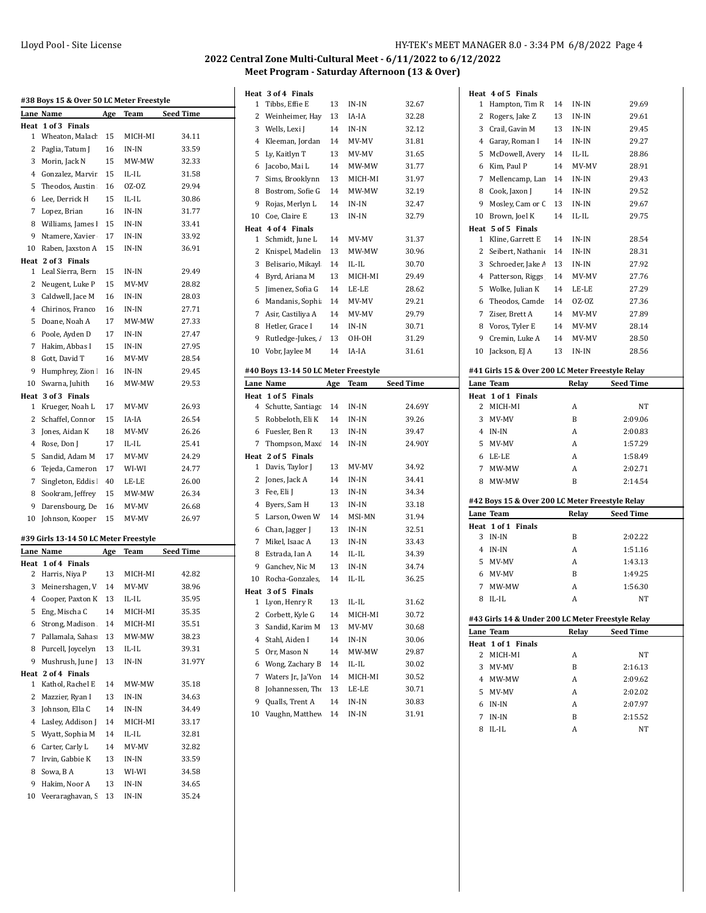| #38 Boys 15 & Over 50 LC Meter Freestyle |                                       |            |         |                  |
|------------------------------------------|---------------------------------------|------------|---------|------------------|
|                                          | Lane Name                             | <u>Age</u> | Team    | <b>Seed Time</b> |
| Heat                                     | 1 of 3 Finals                         |            |         |                  |
| 1                                        | Wheaton, Malacł                       | 15         | MICH-MI | 34.11            |
| 2                                        | Paglia, Tatum J                       | 16         | IN-IN   | 33.59            |
| 3                                        | Morin, Jack N                         | 15         | MW-MW   | 32.33            |
| 4                                        | Gonzalez, Marvir                      | 15         | IL-IL   | 31.58            |
| 5                                        | Theodos, Austin                       | 16         | OZ-OZ   | 29.94            |
| 6                                        | Lee, Derrick H                        | 15         | IL-IL   | 30.86            |
| 7                                        | Lopez, Brian                          | 16         | IN-IN   | 31.77            |
| 8                                        | Williams, James                       | 15         | IN-IN   | 33.41            |
| 9                                        | Ntamere, Xavier                       | 17         | IN-IN   | 33.92            |
| 10                                       | Raben, Jaxston A                      | 15         | IN-IN   | 36.91            |
| Heat                                     | 2 of 3 Finals                         |            |         |                  |
| 1                                        | Leal Sierra, Bern                     | 15         | IN-IN   | 29.49            |
| 2                                        | Neugent, Luke P                       | 15         | MV-MV   | 28.82            |
| 3                                        | Caldwell, Jace M                      | 16         | IN-IN   | 28.03            |
| 4                                        | Chirinos, Franco                      | 16         | IN-IN   | 27.71            |
| 5                                        | Doane, Noah A                         | 17         | MW-MW   | 27.33            |
| 6                                        | Poole, Ayden D                        | 17         | IN-IN   | 27.47            |
| 7                                        | Hakim, Abbas I                        | 15         | IN-IN   | 27.95            |
| 8                                        | Gott. David T                         | 16         | MV-MV   | 28.54            |
| 9                                        | Humphrey, Zion                        | 16         | IN-IN   | 29.45            |
| 10                                       | Swarna, Juhith                        | 16         | MW-MW   | 29.53            |
| Heat                                     | 3 of 3 Finals                         |            |         |                  |
| 1                                        | Krueger, Noah L                       | 17         | MV-MV   | 26.93            |
| 2                                        | Schaffel, Connor                      | 15         | IA-IA   | 26.54            |
| 3                                        | Jones, Aidan K                        | 18         | MV-MV   | 26.26            |
| 4                                        | Rose, Don J                           | 17         | IL-IL   | 25.41            |
| 5                                        | Sandid, Adam M                        | 17         | MV-MV   | 24.29            |
| 6                                        | Tejeda, Cameron                       | 17         | WI-WI   | 24.77            |
| 7                                        | Singleton, Eddis                      | 40         | LE-LE   | 26.00            |
| 8                                        | Sookram, Jeffrey                      | 15         | MW-MW   | 26.34            |
| 9                                        | Darensbourg, De                       | 16         | MV-MV   | 26.68            |
| 10                                       | Johnson, Kooper                       | 15         | MV-MV   | 26.97            |
|                                          |                                       |            |         |                  |
|                                          | #39 Girls 13-14 50 LC Meter Freestyle |            |         |                  |
|                                          | Lane Name                             | Age        | Team    | <b>Seed Time</b> |
| 2                                        | Heat 1 of 4 Finals<br>Harris, Niya P  | 13         | MICH-MI | 42.82            |
| 3                                        | Meinershagen, V                       | 14         | MV-MV   | 38.96            |
| 4                                        | Cooper, Paxton K                      | 13         | IL-IL   | 35.95            |
| 5                                        |                                       | 14         |         | 35.35            |
|                                          | Eng, Mischa C                         | 14         | MICH-MI |                  |
| 6                                        | Strong, Madison                       |            | MICH-MI | 35.51            |
| 7                                        | Pallamala, Sahas                      | 13         | MW-MW   | 38.23            |
| 8                                        | Purcell, Joycelyn                     | 13         | IL-IL   | 39.31            |
| 9                                        | Mushrush, June J                      | 13         | IN-IN   | 31.97Y           |
| Heat<br>1                                | 2 of 4 Finals<br>Kathol, Rachel E     | 14         | MW-MW   | 35.18            |
| 2                                        | Mazzier, Ryan I                       | 13         | IN-IN   | 34.63            |
|                                          | Johnson, Ella C                       |            |         |                  |
| 3                                        |                                       | 14         | IN-IN   | 34.49            |
| 4                                        | Lasley, Addison J<br>Wyatt, Sophia M  | 14         | MICH-MI | 33.17            |
| 5                                        |                                       | 14         | IL-IL   | 32.81<br>32.82   |
| 6                                        | Carter, Carly L                       | 14         | MV-MV   |                  |
| 7                                        | Irvin, Gabbie K                       | 13         | IN-IN   | 33.59            |
| 8                                        | Sowa, B A                             | 13         | WI-WI   | 34.58            |
| 9                                        | Hakim, Noor A                         | 13         | IN-IN   | 34.65            |
| 10                                       | Veeraraghavan, S                      | 13         | IN-IN   | 35.24            |

| Heat | 3 of 4 Finals                        |     |             |           |
|------|--------------------------------------|-----|-------------|-----------|
| 1    | Tibbs, Effie E                       | 13  | IN-IN       | 32.67     |
| 2    | Weinheimer, Hay                      | 13  | IA-IA       | 32.28     |
| 3    | Wells, Lexi J                        | 14  | $IN-IN$     | 32.12     |
| 4    | Kleeman, Jordan                      | 14  | MV-MV       | 31.81     |
| 5    | Ly, Kaitlyn T                        | 13  | MV-MV       | 31.65     |
| 6    | Jacobo, Mai L                        | 14  | MW-MW       | 31.77     |
| 7    | Sims, Brooklynn                      | 13  | MICH-MI     | 31.97     |
| 8    | Bostrom, Sofie G                     | 14  | MW-MW       | 32.19     |
| 9    | Rojas, Merlyn L                      | 14  | IN-IN       | 32.47     |
| 10   | Coe, Claire E                        | 13  | IN-IN       | 32.79     |
|      | Heat 4 of 4 Finals                   |     |             |           |
| 1    | Schmidt, June L                      | 14  | MV-MV       | 31.37     |
| 2    | Knispel, Madelin                     | 13  | MW-MW       | 30.96     |
| 3    | Belisario, Mikayl                    | 14  | IL-IL       | 30.70     |
| 4    | Byrd, Ariana M                       | 13  | MICH-MI     | 29.49     |
| 5    | Jimenez, Sofia G                     | 14  | LE-LE       | 28.62     |
| 6    | Mandanis, Sophi                      | 14  | MV-MV       | 29.21     |
| 7    | Asir, Castiliya A                    | 14  | MV-MV       | 29.79     |
| 8    | Hetler, Grace I                      | 14  | IN-IN       | 30.71     |
| 9    | Rutledge-Jukes, /                    | 13  | OH-OH       | 31.29     |
| 10   | Vobr, Jaylee M                       | 14  | IA-IA       | 31.61     |
|      | #40 Boys 13-14 50 LC Meter Freestyle |     |             |           |
|      |                                      |     |             |           |
| Heat | Lane Name<br>1 of 5 Finals           | Age | Team        | Seed Time |
| 4    | Schutte, Santiago                    | 14  | IN-IN       | 24.69Y    |
| 5    | Robbeloth, Eli K                     | 14  | IN-IN       | 39.26     |
| 6    | Fuesler, Ben R                       | 13  | IN-IN       | 39.47     |
| 7    | Thompson, Maxc                       | 14  | IN-IN       | 24.90Y    |
| Heat | 2 of 5 Finals                        |     |             |           |
| 1    | Davis, Taylor J                      | 13  | MV-MV       | 34.92     |
| 2    | Jones, Jack A                        | 14  | IN-IN       | 34.41     |
| 3    | Fee, Eli J                           | 13  | IN-IN       | 34.34     |
| 4    | Byers, Sam H                         | 13  | IN-IN       | 33.18     |
| 5    | Larson, Owen W                       | 14  | MSI-MN      | 31.94     |
| 6    | Chan, Jagger J                       | 13  | IN-IN       | 32.51     |
| 7    | Mikel, Isaac A                       | 13  | IN-IN       | 33.43     |
| 8    | Estrada, Ian A                       | 14  | IL-IL       | 34.39     |
| 9    | Ganchev, Nic M                       | 13  | IN-IN       | 34.74     |
| 10   | Rocha-Gonzales,                      | 14  | $IL$ - $IL$ | 36.25     |
|      | Heat 3 of 5 Finals                   |     |             |           |
|      | 1 Lyon, Henry R                      | 13  | IL-IL       | 31.62     |
| 2    | Corbett, Kyle G                      | 14  | MICH-MI     | 30.72     |
| 3    |                                      |     | MV-MV       | 30.68     |
| 4    | Sandid, Karim M                      | 13  |             |           |
|      | Stahl, Aiden I                       | 14  | IN-IN       | 30.06     |
| 5    | Orr, Mason N                         | 14  | MW-MW       | 29.87     |
| 6    | Wong, Zachary B                      | 14  | IL-IL       | 30.02     |
| 7    | Waters Jr., Ja'Von                   | 14  | MICH-MI     | 30.52     |
| 8    | Johannessen, The                     | 13  | LE-LE       | 30.71     |
| 9    | Qualls, Trent A                      | 14  | IN-IN       | 30.83     |

|    | Heat 4 of 5 Finals                                |    |         |           |  |
|----|---------------------------------------------------|----|---------|-----------|--|
| 1  | Hampton, Tim R                                    | 14 | IN-IN   | 29.69     |  |
| 2  | Rogers, Jake Z                                    | 13 | IN-IN   | 29.61     |  |
| 3  | Crail, Gavin M                                    | 13 | IN-IN   | 29.45     |  |
|    | 4 Garay, Roman I                                  | 14 | IN-IN   | 29.27     |  |
| 5  | McDowell, Avery                                   | 14 | IL-IL   | 28.86     |  |
|    | 6 Kim, Paul P                                     | 14 | MV-MV   | 28.91     |  |
| 7  | Mellencamp, Lan                                   | 14 | IN-IN   | 29.43     |  |
| 8  | Cook, Jaxon J                                     | 14 | IN-IN   | 29.52     |  |
| 9  | Mosley, Cam or C                                  | 13 | IN-IN   | 29.67     |  |
|    | 10 Brown, Joel K                                  | 14 | IL-IL   | 29.75     |  |
|    | Heat 5 of 5 Finals                                |    |         |           |  |
| 1  | Kline, Garrett E                                  | 14 | IN-IN   | 28.54     |  |
| 2  | Seibert, Nathanie                                 | 14 | IN-IN   | 28.31     |  |
| 3  | Schroeder, Jake A                                 | 13 | IN-IN   | 27.92     |  |
|    | 4 Patterson, Riggs                                | 14 | MV-MV   | 27.76     |  |
| 5  | Wolke, Julian K                                   | 14 | LE-LE   | 27.29     |  |
|    | 6 Theodos, Camde                                  | 14 | OZ-OZ   | 27.36     |  |
|    | 7 Ziser, Brett A                                  | 14 | MV-MV   | 27.89     |  |
|    | 8 Voros, Tyler E                                  | 14 | MV-MV   | 28.14     |  |
| 9  | Cremin, Luke A                                    | 14 | MV-MV   | 28.50     |  |
| 10 | Jackson, EJ A                                     | 13 | $IN-IN$ | 28.56     |  |
|    |                                                   |    |         |           |  |
|    | #41 Girls 15 & Over 200 LC Meter Freestyle Relay  |    |         |           |  |
|    | Lane Team                                         |    | Relay   | Seed Time |  |
|    | Heat 1 of 1 Finals                                |    |         |           |  |
|    | 2 MICH-MI                                         |    | Α       | NΤ        |  |
| 3  | MV-MV                                             |    | B       | 2:09.06   |  |
|    | 4 IN-IN                                           |    | A       | 2:00.83   |  |
|    | 5 MV-MV                                           |    | Α       | 1:57.29   |  |
|    | 6 LE-LE                                           |    | Α       | 1:58.49   |  |
|    | 7 MW-MW                                           |    | A       | 2:02.71   |  |
|    | 8 MW-MW                                           |    | B       | 2:14.54   |  |
|    |                                                   |    |         |           |  |
|    | #42 Boys 15 & Over 200 LC Meter Freestyle Relay   |    |         |           |  |
|    | Lane Team                                         |    | Relay   | Seed Time |  |
|    | Heat 1 of 1 Finals                                |    |         |           |  |
| 3  | IN-IN                                             |    | B       | 2:02.22   |  |
|    | 4 IN-IN                                           |    | A       | 1:51.16   |  |
|    | 5 MV-MV                                           |    | A       | 1:43.13   |  |
|    | 6 MV-MV                                           |    | B       | 1:49.25   |  |
| 7  | MW-MW                                             |    | A       | 1:56.30   |  |
| 8  | IL-IL                                             |    | A       | NΤ        |  |
|    | #43 Girls 14 & Under 200 LC Meter Freestyle Relay |    |         |           |  |
|    | Lane Team                                         |    | Relay   | Seed Time |  |
|    | Heat 1 of 1 Finals                                |    |         |           |  |
| 2  | MICH-MI                                           |    | A       | NΤ        |  |
| 3  | MV-MV                                             |    | B       | 2:16.13   |  |
|    | 4 MW-MW                                           |    | A       | 2:09.62   |  |
| 5  | MV-MV                                             |    | A       | 2:02.02   |  |
| 6  | IN-IN                                             |    | A       | 2:07.97   |  |
| 7  | IN-IN                                             |    | B       | 2:15.52   |  |
| 8  | IL-IL                                             |    | A       | NT        |  |
|    |                                                   |    |         |           |  |